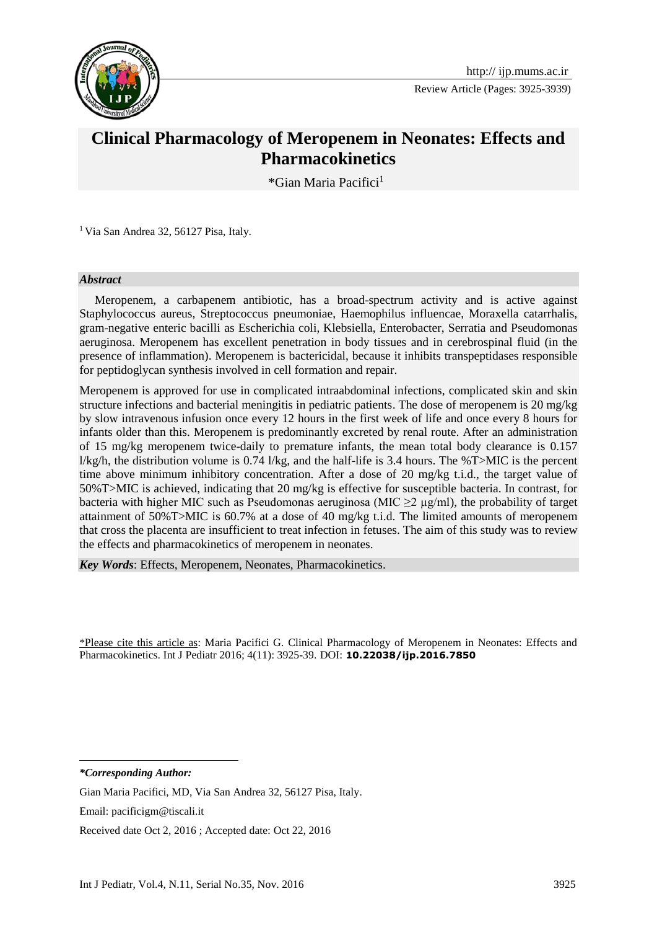

Review Article (Pages: 3925-3939)

# **Clinical Pharmacology of Meropenem in Neonates: Effects and Pharmacokinetics**

\*Gian Maria Pacifici<sup>1</sup>**<sup>1</sup>**

<sup>1</sup> Via San Andrea 32, 56127 Pisa, Italy.

#### *Abstract*

 Meropenem, a carbapenem antibiotic, has a broad-spectrum activity and is active against Staphylococcus aureus, Streptococcus pneumoniae, Haemophilus influencae, Moraxella catarrhalis, gram-negative enteric bacilli as Escherichia coli, Klebsiella, Enterobacter, Serratia and Pseudomonas aeruginosa. Meropenem has excellent penetration in body tissues and in cerebrospinal fluid (in the presence of inflammation). Meropenem is bactericidal, because it inhibits transpeptidases responsible for peptidoglycan synthesis involved in cell formation and repair.

Meropenem is approved for use in complicated intraabdominal infections, complicated skin and skin structure infections and bacterial meningitis in pediatric patients. The dose of meropenem is 20 mg/kg by slow intravenous infusion once every 12 hours in the first week of life and once every 8 hours for infants older than this. Meropenem is predominantly excreted by renal route. After an administration of 15 mg/kg meropenem twice-daily to premature infants, the mean total body clearance is 0.157 l/kg/h, the distribution volume is 0.74 l/kg, and the half-life is 3.4 hours. The %T>MIC is the percent time above minimum inhibitory concentration. After a dose of 20 mg/kg t.i.d., the target value of 50%T>MIC is achieved, indicating that 20 mg/kg is effective for susceptible bacteria. In contrast, for bacteria with higher MIC such as Pseudomonas aeruginosa (MIC  $\geq$ 2  $\mu$ g/ml), the probability of target attainment of 50%T>MIC is 60.7% at a dose of 40 mg/kg t.i.d. The limited amounts of meropenem that cross the placenta are insufficient to treat infection in fetuses. The aim of this study was to review the effects and pharmacokinetics of meropenem in neonates.

*Key Words*: Effects, Meropenem, Neonates, Pharmacokinetics.

\*Please cite this article as: Maria Pacifici G. Clinical Pharmacology of Meropenem in Neonates: Effects and Pharmacokinetics. Int J Pediatr 2016; 4(11): 3925-39. DOI: **10.22038/ijp.2016.7850**

*\*Corresponding Author:*

**.** 

Gian Maria Pacifici, MD, Via San Andrea 32, 56127 Pisa, Italy.

Email: pacificigm@tiscali.it

Received date Oct 2, 2016 ; Accepted date: Oct 22, 2016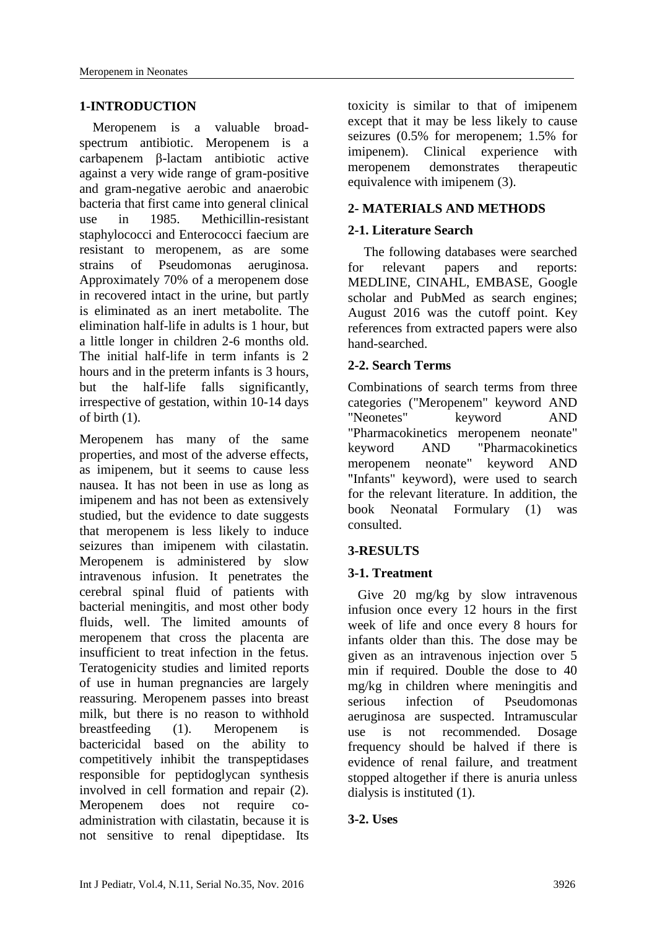### **1-INTRODUCTION**

 Meropenem is a valuable broadspectrum antibiotic. Meropenem is a carbapenem β-lactam antibiotic active against a very wide range of gram-positive and gram-negative aerobic and anaerobic bacteria that first came into general clinical use in 1985. Methicillin-resistant staphylococci and Enterococci faecium are resistant to meropenem, as are some strains of Pseudomonas aeruginosa. Approximately 70% of a meropenem dose in recovered intact in the urine, but partly is eliminated as an inert metabolite. The elimination half-life in adults is 1 hour, but a little longer in children 2-6 months old. The initial half-life in term infants is 2 hours and in the preterm infants is 3 hours, but the half-life falls significantly, irrespective of gestation, within 10-14 days of birth (1).

Meropenem has many of the same properties, and most of the adverse effects, as imipenem, but it seems to cause less nausea. It has not been in use as long as imipenem and has not been as extensively studied, but the evidence to date suggests that meropenem is less likely to induce seizures than imipenem with cilastatin. Meropenem is administered by slow intravenous infusion. It penetrates the cerebral spinal fluid of patients with bacterial meningitis, and most other body fluids, well. The limited amounts of meropenem that cross the placenta are insufficient to treat infection in the fetus. Teratogenicity studies and limited reports of use in human pregnancies are largely reassuring. Meropenem passes into breast milk, but there is no reason to withhold breastfeeding (1). Meropenem is bactericidal based on the ability to competitively inhibit the transpeptidases responsible for peptidoglycan synthesis involved in cell formation and repair (2). Meropenem does not require coadministration with cilastatin, because it is not sensitive to renal dipeptidase. Its toxicity is similar to that of imipenem except that it may be less likely to cause seizures (0.5% for meropenem; 1.5% for imipenem). Clinical experience with meropenem demonstrates therapeutic equivalence with imipenem (3).

### **2- MATERIALS AND METHODS**

### **2-1. Literature Search**

The following databases were searched for relevant papers and reports: MEDLINE, CINAHL, EMBASE, Google scholar and PubMed as search engines; August 2016 was the cutoff point. Key references from extracted papers were also hand-searched.

### **2-2. Search Terms**

Combinations of search terms from three categories ("Meropenem" keyword AND "Neonetes" keyword AND "Pharmacokinetics meropenem neonate" keyword AND "Pharmacokinetics meropenem neonate" keyword AND "Infants" keyword), were used to search for the relevant literature. In addition, the book Neonatal Formulary (1) was consulted.

### **3-RESULTS**

#### **3-1. Treatment**

 Give 20 mg/kg by slow intravenous infusion once every 12 hours in the first week of life and once every 8 hours for infants older than this. The dose may be given as an intravenous injection over 5 min if required. Double the dose to 40 mg/kg in children where meningitis and serious infection of Pseudomonas aeruginosa are suspected. Intramuscular use is not recommended. Dosage frequency should be halved if there is evidence of renal failure, and treatment stopped altogether if there is anuria unless dialysis is instituted (1).

#### **3-2. Uses**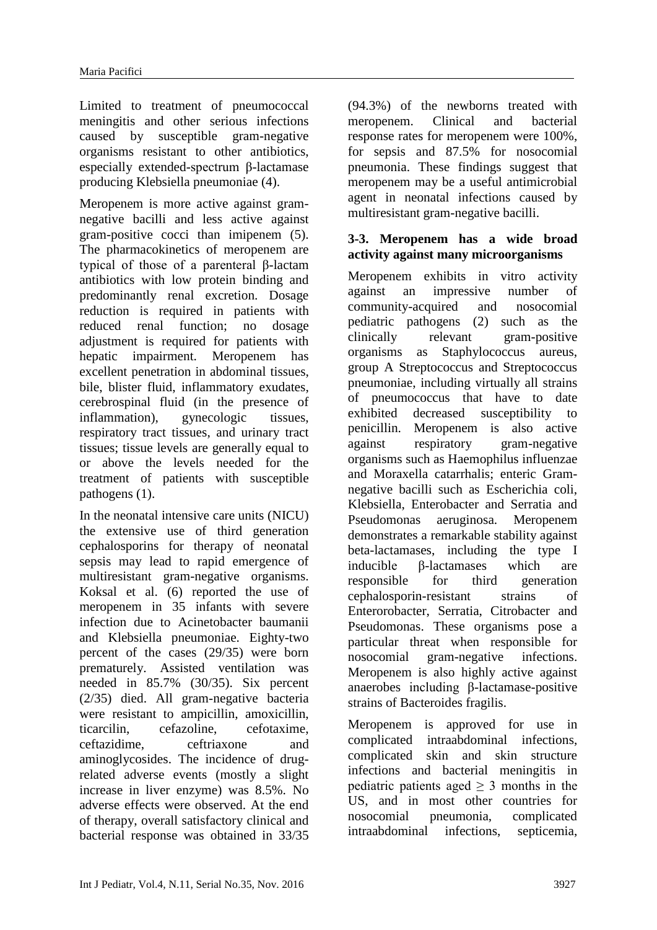Limited to treatment of pneumococcal meningitis and other serious infections caused by susceptible gram-negative organisms resistant to other antibiotics, especially extended-spectrum β-lactamase producing Klebsiella pneumoniae (4).

Meropenem is more active against gramnegative bacilli and less active against gram-positive cocci than imipenem (5). The pharmacokinetics of meropenem are typical of those of a parenteral β-lactam antibiotics with low protein binding and predominantly renal excretion. Dosage reduction is required in patients with reduced renal function; no dosage adjustment is required for patients with hepatic impairment. Meropenem has excellent penetration in abdominal tissues, bile, blister fluid, inflammatory exudates, cerebrospinal fluid (in the presence of inflammation), gynecologic tissues, respiratory tract tissues, and urinary tract tissues; tissue levels are generally equal to or above the levels needed for the treatment of patients with susceptible pathogens (1).

In the neonatal intensive care units (NICU) the extensive use of third generation cephalosporins for therapy of neonatal sepsis may lead to rapid emergence of multiresistant gram-negative organisms. Koksal et al. (6) reported the use of meropenem in 35 infants with severe infection due to Acinetobacter baumanii and Klebsiella pneumoniae. Eighty-two percent of the cases (29/35) were born prematurely. Assisted ventilation was needed in 85.7% (30/35). Six percent (2/35) died. All gram-negative bacteria were resistant to ampicillin, amoxicillin, ticarcilin, cefazoline, cefotaxime, ceftazidime, ceftriaxone and aminoglycosides. The incidence of drugrelated adverse events (mostly a slight increase in liver enzyme) was 8.5%. No adverse effects were observed. At the end of therapy, overall satisfactory clinical and bacterial response was obtained in 33/35

(94.3%) of the newborns treated with meropenem. Clinical and bacterial response rates for meropenem were 100%, for sepsis and 87.5% for nosocomial pneumonia. These findings suggest that meropenem may be a useful antimicrobial agent in neonatal infections caused by multiresistant gram-negative bacilli.

### **3-3. Meropenem has a wide broad activity against many microorganisms**

Meropenem exhibits in vitro activity against an impressive number of community-acquired and nosocomial pediatric pathogens (2) such as the clinically relevant gram-positive organisms as Staphylococcus aureus, group A Streptococcus and Streptococcus pneumoniae, including virtually all strains of pneumococcus that have to date exhibited decreased susceptibility to penicillin. Meropenem is also active against respiratory gram-negative organisms such as Haemophilus influenzae and Moraxella catarrhalis; enteric Gramnegative bacilli such as Escherichia coli, Klebsiella, Enterobacter and Serratia and Pseudomonas aeruginosa. Meropenem demonstrates a remarkable stability against beta-lactamases, including the type I inducible β-lactamases which are responsible for third generation cephalosporin-resistant strains of Enterorobacter, Serratia, Citrobacter and Pseudomonas. These organisms pose a particular threat when responsible for nosocomial gram-negative infections. Meropenem is also highly active against anaerobes including β-lactamase-positive strains of Bacteroides fragilis.

Meropenem is approved for use in complicated intraabdominal infections, complicated skin and skin structure infections and bacterial meningitis in pediatric patients aged  $> 3$  months in the US, and in most other countries for nosocomial pneumonia, complicated intraabdominal infections, septicemia,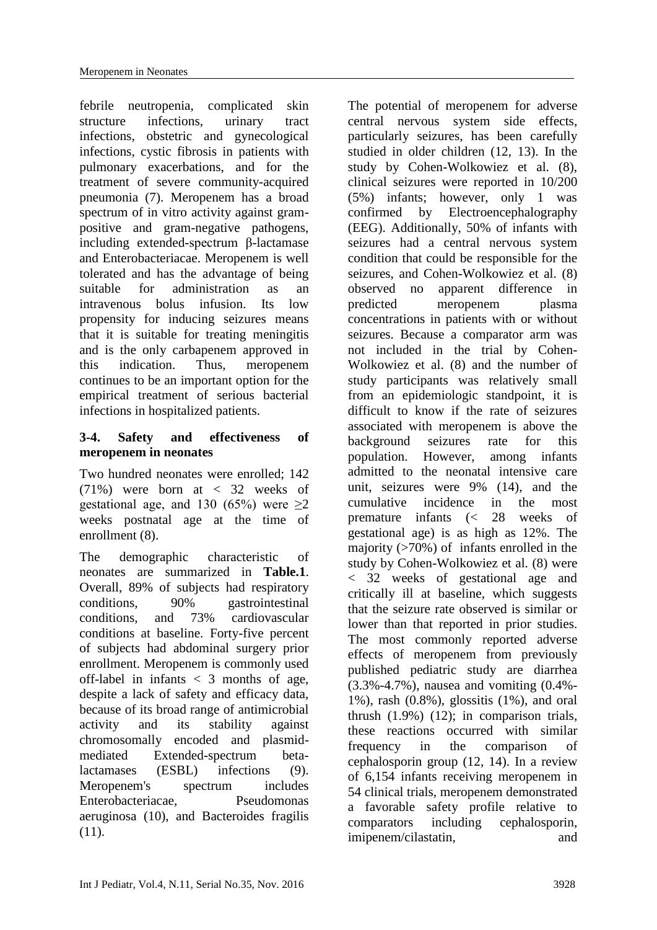febrile neutropenia, complicated skin structure infections, urinary tract infections, obstetric and gynecological infections, cystic fibrosis in patients with pulmonary exacerbations, and for the treatment of severe community-acquired pneumonia (7). Meropenem has a broad spectrum of in vitro activity against grampositive and gram-negative pathogens, including extended-spectrum β-lactamase and Enterobacteriacae. Meropenem is well tolerated and has the advantage of being suitable for administration as an intravenous bolus infusion. Its low propensity for inducing seizures means that it is suitable for treating meningitis and is the only carbapenem approved in this indication. Thus, meropenem continues to be an important option for the empirical treatment of serious bacterial infections in hospitalized patients.

### **3-4. Safety and effectiveness of meropenem in neonates**

Two hundred neonates were enrolled; 142 (71%) were born at < 32 weeks of gestational age, and 130 (65%) were  $\geq 2$ weeks postnatal age at the time of enrollment (8).

The demographic characteristic of neonates are summarized in **Table.1**. Overall, 89% of subjects had respiratory conditions, 90% gastrointestinal conditions, and 73% cardiovascular conditions at baseline. Forty-five percent of subjects had abdominal surgery prior enrollment. Meropenem is commonly used off-label in infants  $\langle 3 \rangle$  months of age, despite a lack of safety and efficacy data, because of its broad range of antimicrobial activity and its stability against chromosomally encoded and plasmidmediated Extended-spectrum betalactamases (ESBL) infections (9). Meropenem's spectrum includes Enterobacteriacae, Pseudomonas aeruginosa (10), and Bacteroides fragilis  $(11)$ .

The potential of meropenem for adverse central nervous system side effects, particularly seizures, has been carefully studied in older children (12, 13). In the study by Cohen-Wolkowiez et al. (8), clinical seizures were reported in 10/200 (5%) infants; however, only 1 was confirmed by Electroencephalography (EEG). Additionally, 50% of infants with seizures had a central nervous system condition that could be responsible for the seizures, and Cohen-Wolkowiez et al. (8) observed no apparent difference in predicted meropenem plasma concentrations in patients with or without seizures. Because a comparator arm was not included in the trial by Cohen-Wolkowiez et al. (8) and the number of study participants was relatively small from an epidemiologic standpoint, it is difficult to know if the rate of seizures associated with meropenem is above the background seizures rate for this population. However, among infants admitted to the neonatal intensive care unit, seizures were 9% (14), and the cumulative incidence in the most premature infants (< 28 weeks of gestational age) is as high as 12%. The majority (>70%) of infants enrolled in the study by Cohen-Wolkowiez et al. (8) were < 32 weeks of gestational age and critically ill at baseline, which suggests that the seizure rate observed is similar or lower than that reported in prior studies. The most commonly reported adverse effects of meropenem from previously published pediatric study are diarrhea (3.3%-4.7%), nausea and vomiting (0.4%- 1%), rash (0.8%), glossitis (1%), and oral thrush (1.9%) (12); in comparison trials, these reactions occurred with similar frequency in the comparison of cephalosporin group (12, 14). In a review of 6,154 infants receiving meropenem in 54 clinical trials, meropenem demonstrated a favorable safety profile relative to comparators including cephalosporin, imipenem/cilastatin, and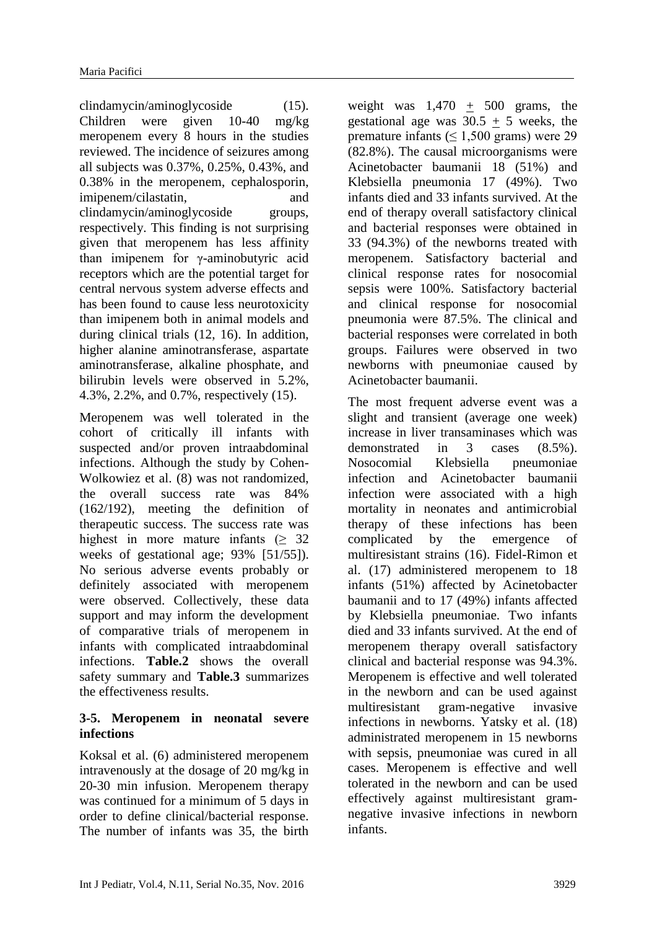clindamycin/aminoglycoside (15). Children were given 10-40 mg/kg meropenem every 8 hours in the studies reviewed. The incidence of seizures among all subjects was 0.37%, 0.25%, 0.43%, and 0.38% in the meropenem, cephalosporin, imipenem/cilastatin, and clindamycin/aminoglycoside groups, respectively. This finding is not surprising given that meropenem has less affinity than imipenem for γ-aminobutyric acid receptors which are the potential target for central nervous system adverse effects and has been found to cause less neurotoxicity than imipenem both in animal models and during clinical trials (12, 16). In addition, higher alanine aminotransferase, aspartate aminotransferase, alkaline phosphate, and bilirubin levels were observed in 5.2%, 4.3%, 2.2%, and 0.7%, respectively (15).

Meropenem was well tolerated in the cohort of critically ill infants with suspected and/or proven intraabdominal infections. Although the study by Cohen-Wolkowiez et al. (8) was not randomized, the overall success rate was 84% (162/192), meeting the definition of therapeutic success. The success rate was highest in more mature infants  $(≥ 32)$ weeks of gestational age; 93% [51/55]). No serious adverse events probably or definitely associated with meropenem were observed. Collectively, these data support and may inform the development of comparative trials of meropenem in infants with complicated intraabdominal infections. **Table.2** shows the overall safety summary and **Table.3** summarizes the effectiveness results.

### **3-5. Meropenem in neonatal severe infections**

Koksal et al. (6) administered meropenem intravenously at the dosage of 20 mg/kg in 20-30 min infusion. Meropenem therapy was continued for a minimum of 5 days in order to define clinical/bacterial response. The number of infants was 35, the birth

weight was  $1,470 + 500$  grams, the gestational age was  $30.5 + 5$  weeks, the premature infants ( $\leq 1,500$  grams) were 29 (82.8%). The causal microorganisms were Acinetobacter baumanii 18 (51%) and Klebsiella pneumonia 17 (49%). Two infants died and 33 infants survived. At the end of therapy overall satisfactory clinical and bacterial responses were obtained in 33 (94.3%) of the newborns treated with meropenem. Satisfactory bacterial and clinical response rates for nosocomial sepsis were 100%. Satisfactory bacterial and clinical response for nosocomial pneumonia were 87.5%. The clinical and bacterial responses were correlated in both groups. Failures were observed in two newborns with pneumoniae caused by Acinetobacter baumanii.

The most frequent adverse event was a slight and transient (average one week) increase in liver transaminases which was demonstrated in 3 cases (8.5%). Nosocomial Klebsiella pneumoniae infection and Acinetobacter baumanii infection were associated with a high mortality in neonates and antimicrobial therapy of these infections has been complicated by the emergence of multiresistant strains (16). Fidel-Rimon et al. (17) administered meropenem to 18 infants (51%) affected by Acinetobacter baumanii and to 17 (49%) infants affected by Klebsiella pneumoniae. Two infants died and 33 infants survived. At the end of meropenem therapy overall satisfactory clinical and bacterial response was 94.3%. Meropenem is effective and well tolerated in the newborn and can be used against multiresistant gram-negative invasive infections in newborns. Yatsky et al. (18) administrated meropenem in 15 newborns with sepsis, pneumoniae was cured in all cases. Meropenem is effective and well tolerated in the newborn and can be used effectively against multiresistant gramnegative invasive infections in newborn infants.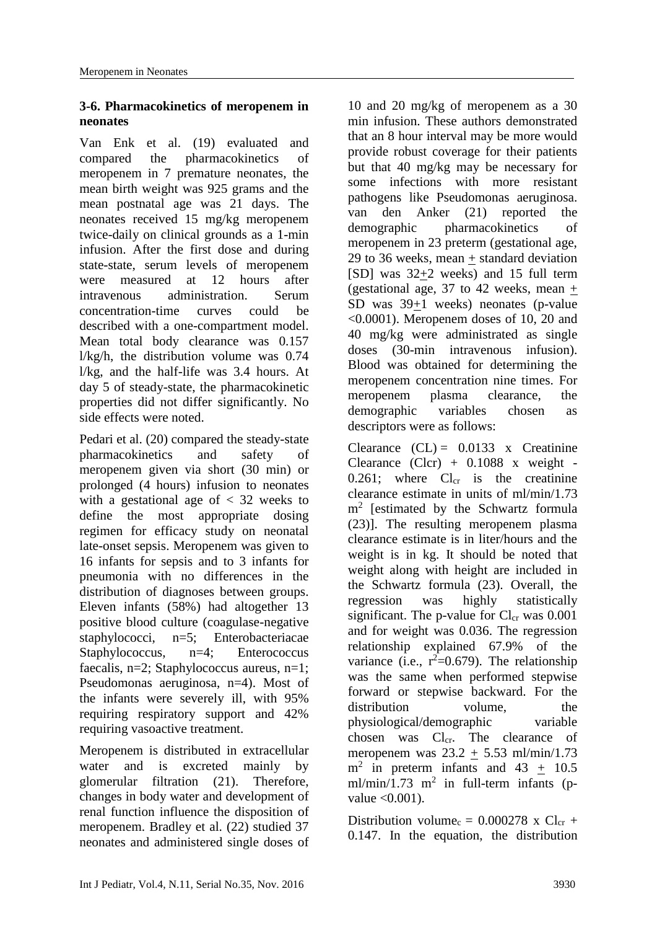## **3-6. Pharmacokinetics of meropenem in neonates**

Van Enk et al. (19) evaluated and compared the pharmacokinetics of meropenem in 7 premature neonates, the mean birth weight was 925 grams and the mean postnatal age was 21 days. The neonates received 15 mg/kg meropenem twice-daily on clinical grounds as a 1-min infusion. After the first dose and during state-state, serum levels of meropenem were measured at 12 hours after intravenous administration. Serum concentration-time curves could be described with a one-compartment model. Mean total body clearance was 0.157 l/kg/h, the distribution volume was 0.74 l/kg, and the half-life was 3.4 hours. At day 5 of steady-state, the pharmacokinetic properties did not differ significantly. No side effects were noted.

Pedari et al. (20) compared the steady-state pharmacokinetics and safety of meropenem given via short (30 min) or prolonged (4 hours) infusion to neonates with a gestational age of  $\langle 32 \rangle$  weeks to define the most appropriate dosing regimen for efficacy study on neonatal late-onset sepsis. Meropenem was given to 16 infants for sepsis and to 3 infants for pneumonia with no differences in the distribution of diagnoses between groups. Eleven infants (58%) had altogether 13 positive blood culture (coagulase-negative staphylococci, n=5; Enterobacteriacae Staphylococcus, n=4; Enterococcus faecalis, n=2; Staphylococcus aureus, n=1; Pseudomonas aeruginosa, n=4). Most of the infants were severely ill, with 95% requiring respiratory support and 42% requiring vasoactive treatment.

Meropenem is distributed in extracellular water and is excreted mainly by glomerular filtration (21). Therefore, changes in body water and development of renal function influence the disposition of meropenem. Bradley et al. (22) studied 37 neonates and administered single doses of 10 and 20 mg/kg of meropenem as a 30 min infusion. These authors demonstrated that an 8 hour interval may be more would provide robust coverage for their patients but that 40 mg/kg may be necessary for some infections with more resistant pathogens like Pseudomonas aeruginosa. van den Anker (21) reported the demographic pharmacokinetics of meropenem in 23 preterm (gestational age, 29 to 36 weeks, mean + standard deviation [SD] was 32+2 weeks) and 15 full term (gestational age, 37 to 42 weeks, mean  $+$ SD was 39+1 weeks) neonates (p-value <0.0001). Meropenem doses of 10, 20 and 40 mg/kg were administrated as single doses (30-min intravenous infusion). Blood was obtained for determining the meropenem concentration nine times. For meropenem plasma clearance, the demographic variables chosen as descriptors were as follows:

Clearance  $(CL) = 0.0133$  x Creatinine Clearance  $(Clcr) + 0.1088$  x weight - $0.261$ ; where  $Cl<sub>cr</sub>$  is the creatinine clearance estimate in units of ml/min/1.73 m<sup>2</sup> [estimated by the Schwartz formula (23)]. The resulting meropenem plasma clearance estimate is in liter/hours and the weight is in kg. It should be noted that weight along with height are included in the Schwartz formula (23). Overall, the regression was highly statistically significant. The p-value for  $Cl_{cr}$  was 0.001 and for weight was 0.036. The regression relationship explained 67.9% of the variance (i.e.,  $r^2=0.679$ ). The relationship was the same when performed stepwise forward or stepwise backward. For the distribution volume, the physiological/demographic variable chosen was Cl<sub>cr</sub>. The clearance of meropenem was  $23.2 + 5.53$  ml/min/1.73  $m^2$  in preterm infants and 43  $\pm$  10.5 ml/min/1.73 m<sup>2</sup> in full-term infants (pvalue  $\langle 0.001 \rangle$ .

Distribution volume<sub>c</sub> =  $0.000278$  x Cl<sub>cr</sub> + 0.147. In the equation, the distribution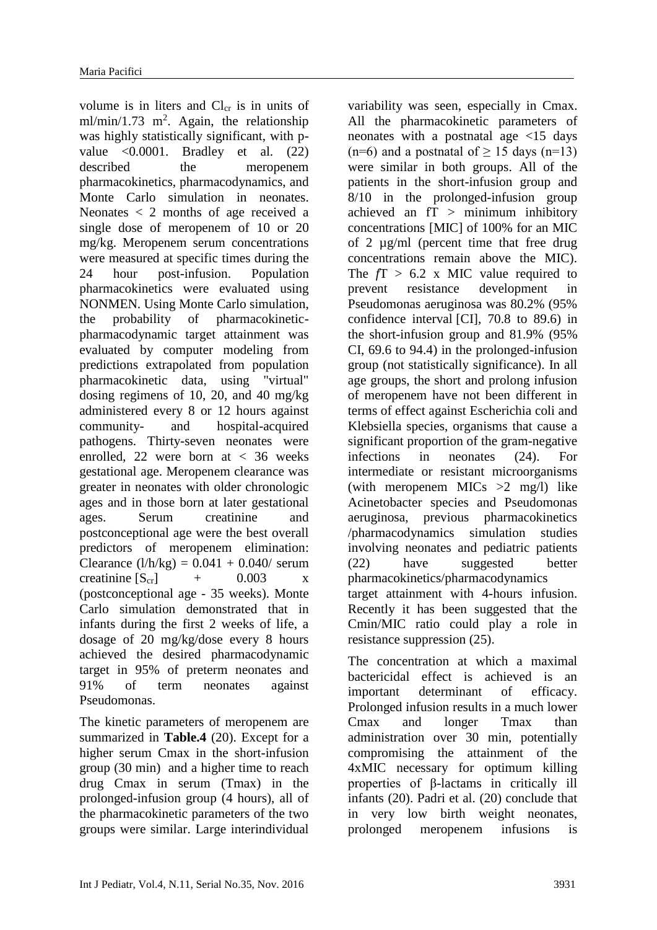volume is in liters and  $Cl<sub>cr</sub>$  is in units of  $ml/min/1.73$  m<sup>2</sup>. Again, the relationship was highly statistically significant, with pvalue  $\leq 0.0001$ . Bradley et al. (22) described the meropenem pharmacokinetics, pharmacodynamics, and Monte Carlo simulation in neonates. Neonates < 2 months of age received a single dose of meropenem of 10 or 20 mg/kg. Meropenem serum concentrations were measured at specific times during the 24 hour post-infusion. Population pharmacokinetics were evaluated using NONMEN. Using Monte Carlo simulation, the probability of pharmacokineticpharmacodynamic target attainment was evaluated by computer modeling from predictions extrapolated from population pharmacokinetic data, using "virtual" dosing regimens of 10, 20, and 40 mg/kg administered every 8 or 12 hours against community- and hospital-acquired pathogens. Thirty-seven neonates were enrolled, 22 were born at < 36 weeks gestational age. Meropenem clearance was greater in neonates with older chronologic ages and in those born at later gestational ages. Serum creatinine and postconceptional age were the best overall predictors of meropenem elimination: Clearance  $(l/h/kg) = 0.041 + 0.040$ / serum creatinine  $[S_{cr}]$  + 0.003 x (postconceptional age - 35 weeks). Monte Carlo simulation demonstrated that in infants during the first 2 weeks of life, a dosage of 20 mg/kg/dose every 8 hours achieved the desired pharmacodynamic target in 95% of preterm neonates and 91% of term neonates against Pseudomonas.

The kinetic parameters of meropenem are summarized in **Table.4** (20). Except for a higher serum Cmax in the short-infusion group (30 min) and a higher time to reach drug Cmax in serum (Tmax) in the prolonged-infusion group (4 hours), all of the pharmacokinetic parameters of the two groups were similar. Large interindividual

variability was seen, especially in Cmax. All the pharmacokinetic parameters of neonates with a postnatal age <15 days  $(n=6)$  and a postnatal of  $> 15$  days  $(n=13)$ were similar in both groups. All of the patients in the short-infusion group and 8/10 in the prolonged-infusion group achieved an  $fT >$  minimum inhibitory concentrations [MIC] of 100% for an MIC of 2 µg/ml (percent time that free drug concentrations remain above the MIC). The  $fT > 6.2$  x MIC value required to prevent resistance development in Pseudomonas aeruginosa was 80.2% (95% confidence interval [CI], 70.8 to 89.6) in the short-infusion group and 81.9% (95% CI, 69.6 to 94.4) in the prolonged-infusion group (not statistically significance). In all age groups, the short and prolong infusion of meropenem have not been different in terms of effect against Escherichia coli and Klebsiella species, organisms that cause a significant proportion of the gram-negative infections in neonates (24). For intermediate or resistant microorganisms (with meropenem MICs  $>2$  mg/l) like Acinetobacter species and Pseudomonas aeruginosa, previous pharmacokinetics /pharmacodynamics simulation studies involving neonates and pediatric patients (22) have suggested better pharmacokinetics/pharmacodynamics target attainment with 4-hours infusion. Recently it has been suggested that the Cmin/MIC ratio could play a role in resistance suppression (25).

The concentration at which a maximal bactericidal effect is achieved is an important determinant of efficacy. Prolonged infusion results in a much lower Cmax and longer Tmax than administration over 30 min, potentially compromising the attainment of the 4xMIC necessary for optimum killing properties of β-lactams in critically ill infants (20). Padri et al. (20) conclude that in very low birth weight neonates, prolonged meropenem infusions is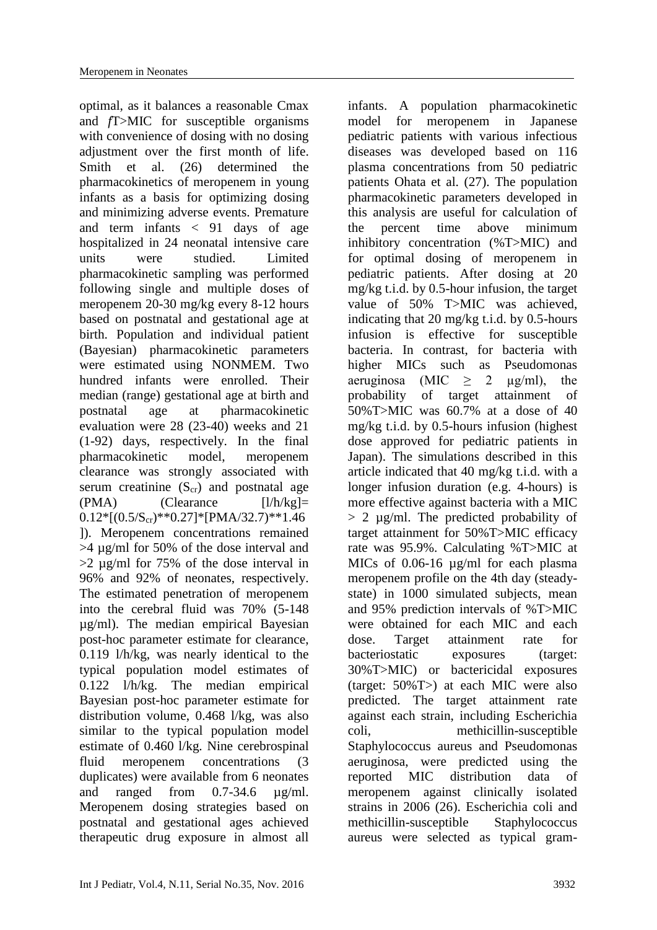optimal, as it balances a reasonable Cmax and *f*T>MIC for susceptible organisms with convenience of dosing with no dosing adjustment over the first month of life. Smith et al. (26) determined the pharmacokinetics of meropenem in young infants as a basis for optimizing dosing and minimizing adverse events. Premature and term infants < 91 days of age hospitalized in 24 neonatal intensive care units were studied. Limited pharmacokinetic sampling was performed following single and multiple doses of meropenem 20-30 mg/kg every 8-12 hours based on postnatal and gestational age at birth. Population and individual patient (Bayesian) pharmacokinetic parameters were estimated using NONMEM. Two hundred infants were enrolled. Their median (range) gestational age at birth and postnatal age at pharmacokinetic evaluation were 28 (23-40) weeks and 21 (1-92) days, respectively. In the final pharmacokinetic model, meropenem clearance was strongly associated with serum creatinine  $(S_{cr})$  and postnatal age  $(PMA)$  (Clearance  $[1/h/kg] =$  $0.12*[(0.5/S<sub>cr</sub>)**0.27]*[PMA/32.7)**1.46$ ]). Meropenem concentrations remained >4 µg/ml for 50% of the dose interval and  $>2$  ug/ml for 75% of the dose interval in 96% and 92% of neonates, respectively. The estimated penetration of meropenem into the cerebral fluid was 70% (5-148 µg/ml). The median empirical Bayesian post-hoc parameter estimate for clearance, 0.119 l/h/kg, was nearly identical to the typical population model estimates of 0.122 l/h/kg. The median empirical Bayesian post-hoc parameter estimate for distribution volume, 0.468 l/kg, was also similar to the typical population model estimate of 0.460 l/kg. Nine cerebrospinal fluid meropenem concentrations (3 duplicates) were available from 6 neonates and ranged from 0.7-34.6 ug/ml. Meropenem dosing strategies based on postnatal and gestational ages achieved therapeutic drug exposure in almost all

Int J Pediatr, Vol.4, N.11, Serial No.35, Nov. 2016 3932

infants. A population pharmacokinetic model for meropenem in Japanese pediatric patients with various infectious diseases was developed based on 116 plasma concentrations from 50 pediatric patients Ohata et al. (27). The population pharmacokinetic parameters developed in this analysis are useful for calculation of the percent time above minimum inhibitory concentration (%T>MIC) and for optimal dosing of meropenem in pediatric patients. After dosing at 20 mg/kg t.i.d. by 0.5-hour infusion, the target value of 50% T>MIC was achieved, indicating that 20 mg/kg t.i.d. by 0.5-hours infusion is effective for susceptible bacteria. In contrast, for bacteria with higher MICs such as Pseudomonas aeruginosa (MIC  $\geq$  2  $\mu$ g/ml), the probability of target attainment of 50%T>MIC was 60.7% at a dose of 40 mg/kg t.i.d. by 0.5-hours infusion (highest dose approved for pediatric patients in Japan). The simulations described in this article indicated that 40 mg/kg t.i.d. with a longer infusion duration (e.g. 4-hours) is more effective against bacteria with a MIC  $> 2 \mu$ g/ml. The predicted probability of target attainment for 50%T>MIC efficacy rate was 95.9%. Calculating %T>MIC at MICs of 0.06-16 µg/ml for each plasma meropenem profile on the 4th day (steadystate) in 1000 simulated subjects, mean and 95% prediction intervals of %T>MIC were obtained for each MIC and each dose. Target attainment rate for bacteriostatic exposures (target: 30%T>MIC) or bactericidal exposures (target: 50%T>) at each MIC were also predicted. The target attainment rate against each strain, including Escherichia coli, methicillin-susceptible Staphylococcus aureus and Pseudomonas aeruginosa, were predicted using the reported MIC distribution data of meropenem against clinically isolated strains in 2006 (26). Escherichia coli and methicillin-susceptible Staphylococcus aureus were selected as typical gram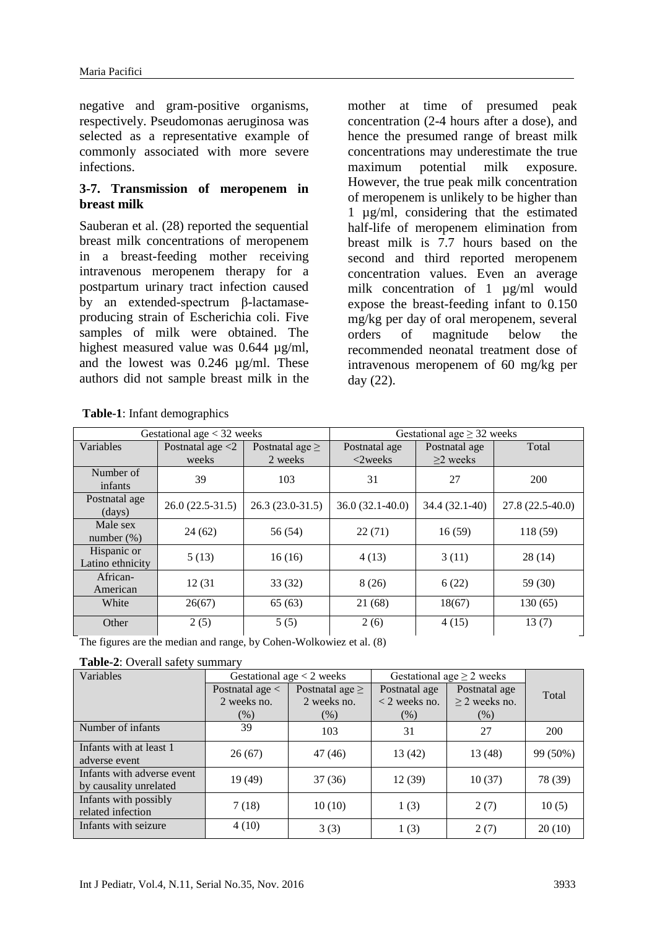negative and gram-positive organisms, respectively. Pseudomonas aeruginosa was selected as a representative example of commonly associated with more severe infections.

### **3-7. Transmission of meropenem in breast milk**

Sauberan et al. (28) reported the sequential breast milk concentrations of meropenem in a breast-feeding mother receiving intravenous meropenem therapy for a postpartum urinary tract infection caused by an extended-spectrum β-lactamaseproducing strain of Escherichia coli. Five samples of milk were obtained. The highest measured value was 0.644  $\mu$ g/ml, and the lowest was 0.246 µg/ml. These authors did not sample breast milk in the

mother at time of presumed peak concentration (2-4 hours after a dose), and hence the presumed range of breast milk concentrations may underestimate the true maximum potential milk exposure. However, the true peak milk concentration of meropenem is unlikely to be higher than 1 µg/ml, considering that the estimated half-life of meropenem elimination from breast milk is 7.7 hours based on the second and third reported meropenem concentration values. Even an average milk concentration of 1 µg/ml would expose the breast-feeding infant to 0.150 mg/kg per day of oral meropenem, several orders of magnitude below the recommended neonatal treatment dose of intravenous meropenem of 60 mg/kg per day (22).

| Gestational age $<$ 32 weeks      |                     |                      | Gestational age $\geq$ 32 weeks |                |                   |  |
|-----------------------------------|---------------------|----------------------|---------------------------------|----------------|-------------------|--|
| Variables                         | Postnatal age $<$ 2 | Postnatal age $\geq$ | Postnatal age                   | Postnatal age  | Total             |  |
|                                   | weeks               | 2 weeks              | $< 2$ weeks                     | $\geq$ weeks   |                   |  |
| Number of<br>infants              | 39                  | 103                  | 31                              | 27             | 200               |  |
| Postnatal age<br>$\frac{days}{9}$ | $26.0(22.5-31.5)$   | $26.3(23.0-31.5)$    | $36.0(32.1-40.0)$               | 34.4 (32.1-40) | $27.8(22.5-40.0)$ |  |
| Male sex<br>number $(\%)$         | 24(62)              | 56 (54)              | 22(71)                          | 16(59)         | 118 (59)          |  |
| Hispanic or<br>Latino ethnicity   | 5(13)               | 16(16)               | 4(13)                           | 3(11)          | 28(14)            |  |
| African-<br>American              | 12 (31              | 33(32)               | 8(26)                           | 6(22)          | 59 (30)           |  |
| White                             | 26(67)              | 65(63)               | 21 (68)                         | 18(67)         | 130(65)           |  |
| Other                             | 2(5)                | 5(5)                 | 2(6)                            | 4(15)          | 13(7)             |  |

**Table-1**: Infant demographics

The figures are the median and range, by Cohen-Wolkowiez et al. (8)

| Table-2: Overall safety summary |  |
|---------------------------------|--|
|---------------------------------|--|

| Variables                                            |                   | Gestational age $<$ 2 weeks | Gestational age $\geq$ 2 weeks |                    |          |  |
|------------------------------------------------------|-------------------|-----------------------------|--------------------------------|--------------------|----------|--|
|                                                      | Postnatal age $<$ | Postnatal age $\geq$        | Postnatal age                  | Postnatal age      | Total    |  |
|                                                      | 2 weeks no.       | 2 weeks no.                 | $<$ 2 weeks no.                | $\geq$ 2 weeks no. |          |  |
|                                                      | (% )              | (% )                        | (% )                           | (% )               |          |  |
| Number of infants                                    | 39                | 103                         | 31                             | 27                 | 200      |  |
| Infants with at least 1<br>adverse event             | 26(67)            | 47 (46)                     | 13(42)                         | 13 (48)            | 99 (50%) |  |
| Infants with adverse event<br>by causality unrelated | 19(49)            | 37(36)                      | 12(39)                         | 10(37)             | 78 (39)  |  |
| Infants with possibly<br>related infection           | 7(18)             | 10(10)                      | 1(3)                           | 2(7)               | 10(5)    |  |
| Infants with seizure                                 | 4(10)             | 3(3)                        | 1(3)                           | 2(7)               | 20(10)   |  |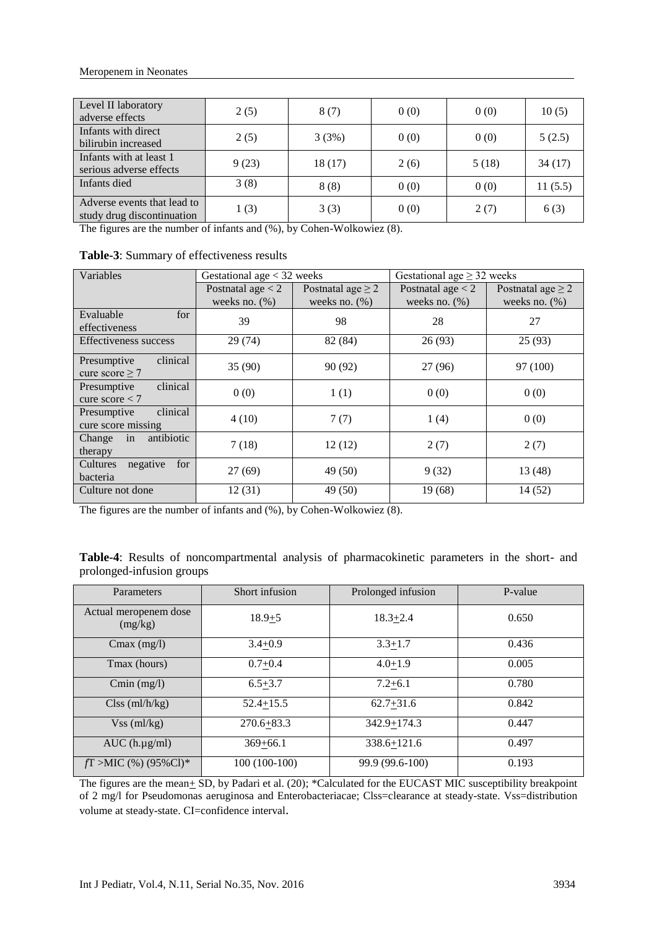| Level II laboratory<br>adverse effects                    | 2(5)  | 8(7)   | 0(0) | 0(0)  | 10(5)   |
|-----------------------------------------------------------|-------|--------|------|-------|---------|
| Infants with direct<br>bilirubin increased                | 2(5)  | 3(3%)  | 0(0) | 0(0)  | 5(2.5)  |
| Infants with at least 1<br>serious adverse effects        | 9(23) | 18(17) | 2(6) | 5(18) | 34(17)  |
| Infants died                                              | 3(8)  | 8(8)   | 0(0) | 0(0)  | 11(5.5) |
| Adverse events that lead to<br>study drug discontinuation | 1(3)  | 3(3)   | 0(0) | 2(7)  | 6(3)    |

The figures are the number of infants and (%), by Cohen-Wolkowiez (8).

| Variables                                      | Gestational age $<$ 32 weeks            |                                            | Gestational age $\geq$ 32 weeks         |                                            |  |
|------------------------------------------------|-----------------------------------------|--------------------------------------------|-----------------------------------------|--------------------------------------------|--|
|                                                | Postnatal age $<$ 2<br>weeks no. $(\%)$ | Postnatal age $\geq 2$<br>weeks no. $(\%)$ | Postnatal age $<$ 2<br>weeks no. $(\%)$ | Postnatal age $\geq 2$<br>weeks no. $(\%)$ |  |
| for<br>Evaluable<br>effectiveness              | 39                                      | 98                                         | 28                                      | 27                                         |  |
| <b>Effectiveness success</b>                   | 29(74)                                  | 82 (84)                                    | 26(93)                                  | 25(93)                                     |  |
| clinical<br>Presumptive<br>cure score $\geq 7$ | 35(90)                                  | 90 (92)                                    | 27(96)                                  | 97 (100)                                   |  |
| clinical<br>Presumptive<br>cure score $<$ 7    | 0(0)                                    | 1(1)                                       | 0(0)                                    | 0(0)                                       |  |
| clinical<br>Presumptive<br>cure score missing  | 4(10)                                   | 7(7)                                       | 1(4)                                    | 0(0)                                       |  |
| antibiotic<br>in<br>Change<br>therapy          | 7(18)                                   | 12(12)                                     | 2(7)                                    | 2(7)                                       |  |
| for<br>Cultures<br>negative<br>bacteria        | 27(69)                                  | 49 (50)                                    | 9(32)                                   | 13(48)                                     |  |
| Culture not done                               | 12(31)                                  | 49 (50)                                    | 19(68)                                  | 14(52)                                     |  |

**Table-3**: Summary of effectiveness results

The figures are the number of infants and (%), by Cohen-Wolkowiez (8).

|                           |  | Table-4: Results of noncompartmental analysis of pharmacokinetic parameters in the short- and |  |  |  |  |
|---------------------------|--|-----------------------------------------------------------------------------------------------|--|--|--|--|
| prolonged-infusion groups |  |                                                                                               |  |  |  |  |

| Parameters                       | Short infusion | Prolonged infusion | P-value |
|----------------------------------|----------------|--------------------|---------|
| Actual meropenem dose<br>(mg/kg) | $18.9 + 5$     | $18.3 + 2.4$       |         |
| $Cmax$ (mg/l)                    | $3.4 + 0.9$    | $3.3 + 1.7$        | 0.436   |
| Tmax (hours)                     | $0.7 + 0.4$    | $4.0 + 1.9$        | 0.005   |
| $Cmin$ (mg/l)                    | $6.5 + 3.7$    | $7.2 + 6.1$        | 0.780   |
| Class (ml/h/kg)                  | $52.4 + 15.5$  | $62.7 + 31.6$      | 0.842   |
| $Vss$ (ml/kg)                    | $270.6 + 83.3$ | 342.9+174.3        | 0.447   |
| $AUC$ (h.µg/ml)                  | $369 + 66.1$   | 338.6+121.6        | 0.497   |
| $fT >$ MIC (%) (95%Cl)*          | $100(100-100)$ | 99.9 (99.6-100)    | 0.193   |

The figures are the mean+ SD, by Padari et al. (20); \*Calculated for the EUCAST MIC susceptibility breakpoint of 2 mg/l for Pseudomonas aeruginosa and Enterobacteriacae; Clss=clearance at steady-state. Vss=distribution volume at steady-state. CI=confidence interval.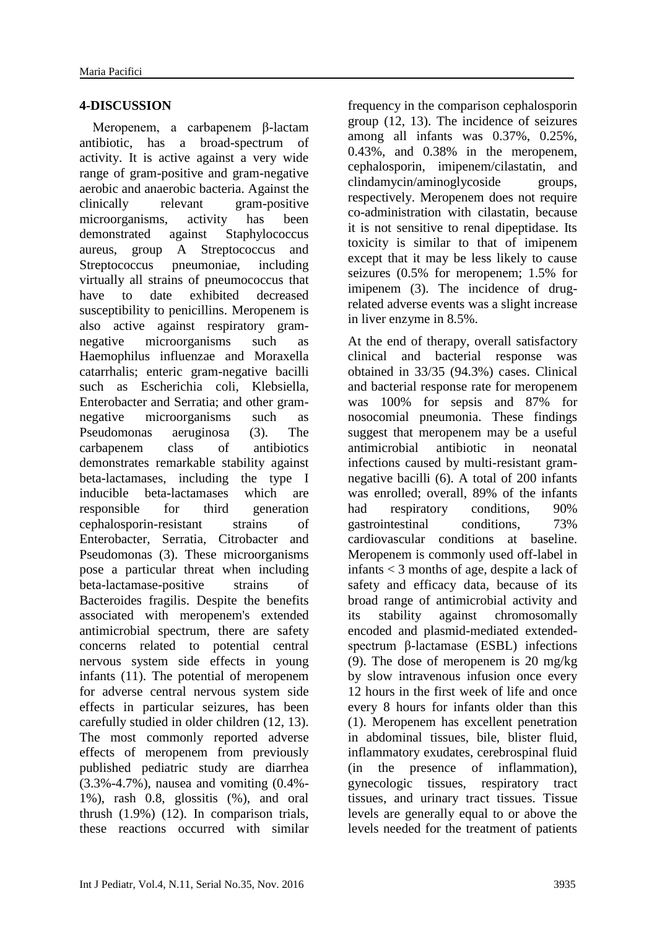### **4-DISCUSSION**

 Meropenem, a carbapenem β-lactam antibiotic, has a broad-spectrum of activity. It is active against a very wide range of gram-positive and gram-negative aerobic and anaerobic bacteria. Against the clinically relevant gram-positive microorganisms, activity has been demonstrated against Staphylococcus aureus, group A Streptococcus and Streptococcus pneumoniae, including virtually all strains of pneumococcus that have to date exhibited decreased susceptibility to penicillins. Meropenem is also active against respiratory gramnegative microorganisms such as Haemophilus influenzae and Moraxella catarrhalis; enteric gram-negative bacilli such as Escherichia coli, Klebsiella, Enterobacter and Serratia; and other gramnegative microorganisms such as Pseudomonas aeruginosa (3). The carbapenem class of antibiotics demonstrates remarkable stability against beta-lactamases, including the type I inducible beta-lactamases which are responsible for third generation cephalosporin-resistant strains of Enterobacter, Serratia, Citrobacter and Pseudomonas (3). These microorganisms pose a particular threat when including beta-lactamase-positive strains of Bacteroides fragilis. Despite the benefits associated with meropenem's extended antimicrobial spectrum, there are safety concerns related to potential central nervous system side effects in young infants (11). The potential of meropenem for adverse central nervous system side effects in particular seizures, has been carefully studied in older children (12, 13). The most commonly reported adverse effects of meropenem from previously published pediatric study are diarrhea (3.3%-4.7%), nausea and vomiting (0.4%- 1%), rash 0.8, glossitis (%), and oral thrush (1.9%) (12). In comparison trials, these reactions occurred with similar

frequency in the comparison cephalosporin group (12, 13). The incidence of seizures among all infants was 0.37%, 0.25%, 0.43%, and 0.38% in the meropenem, cephalosporin, imipenem/cilastatin, and clindamycin/aminoglycoside groups, respectively. Meropenem does not require co-administration with cilastatin, because it is not sensitive to renal dipeptidase. Its toxicity is similar to that of imipenem except that it may be less likely to cause seizures (0.5% for meropenem; 1.5% for imipenem (3). The incidence of drugrelated adverse events was a slight increase in liver enzyme in 8.5%.

At the end of therapy, overall satisfactory clinical and bacterial response was obtained in 33/35 (94.3%) cases. Clinical and bacterial response rate for meropenem was 100% for sepsis and 87% for nosocomial pneumonia. These findings suggest that meropenem may be a useful antimicrobial antibiotic in neonatal infections caused by multi-resistant gramnegative bacilli (6). A total of 200 infants was enrolled; overall, 89% of the infants had respiratory conditions, 90% gastrointestinal conditions, 73% cardiovascular conditions at baseline. Meropenem is commonly used off-label in infants < 3 months of age, despite a lack of safety and efficacy data, because of its broad range of antimicrobial activity and its stability against chromosomally encoded and plasmid-mediated extendedspectrum β-lactamase (ESBL) infections (9). The dose of meropenem is 20 mg/kg by slow intravenous infusion once every 12 hours in the first week of life and once every 8 hours for infants older than this (1). Meropenem has excellent penetration in abdominal tissues, bile, blister fluid, inflammatory exudates, cerebrospinal fluid (in the presence of inflammation), gynecologic tissues, respiratory tract tissues, and urinary tract tissues. Tissue levels are generally equal to or above the levels needed for the treatment of patients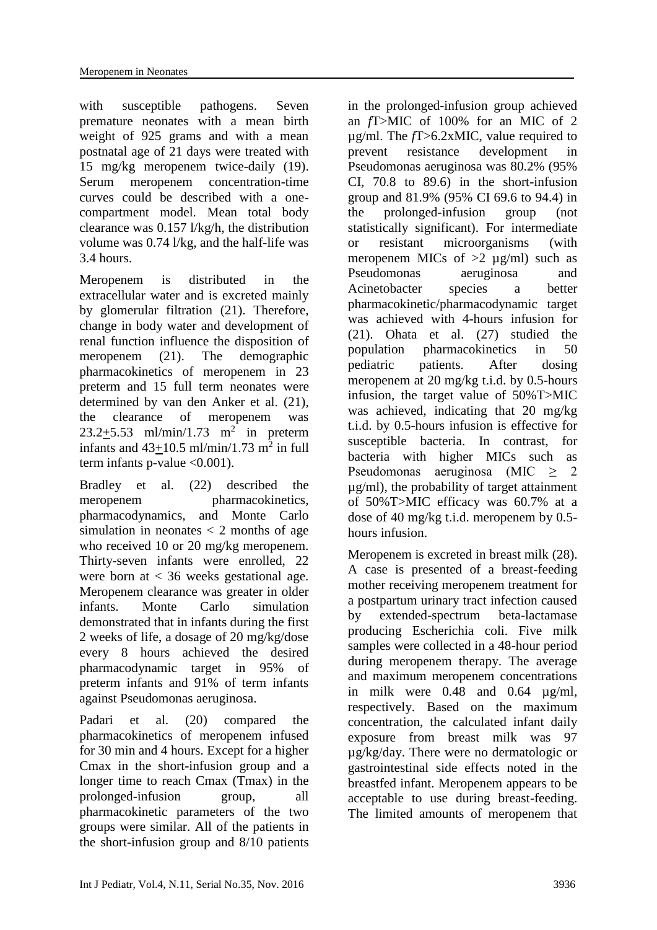with susceptible pathogens. Seven premature neonates with a mean birth weight of 925 grams and with a mean postnatal age of 21 days were treated with 15 mg/kg meropenem twice-daily (19). Serum meropenem concentration-time curves could be described with a onecompartment model. Mean total body clearance was 0.157 l/kg/h, the distribution volume was 0.74 l/kg, and the half-life was 3.4 hours.

Meropenem is distributed in the extracellular water and is excreted mainly by glomerular filtration (21). Therefore, change in body water and development of renal function influence the disposition of meropenem (21). The demographic pharmacokinetics of meropenem in 23 preterm and 15 full term neonates were determined by van den Anker et al. (21), the clearance of meropenem was  $23.2+5.53$  ml/min/1.73 m<sup>2</sup> in preterm infants and  $43+10.5$  ml/min/1.73 m<sup>2</sup> in full term infants p-value  $\langle 0.001 \rangle$ .

Bradley et al. (22) described the meropenem pharmacokinetics, pharmacodynamics, and Monte Carlo simulation in neonates  $\langle 2 \rangle$  months of age who received 10 or 20 mg/kg meropenem. Thirty-seven infants were enrolled, 22 were born at < 36 weeks gestational age. Meropenem clearance was greater in older infants. Monte Carlo simulation demonstrated that in infants during the first 2 weeks of life, a dosage of 20 mg/kg/dose every 8 hours achieved the desired pharmacodynamic target in 95% of preterm infants and 91% of term infants against Pseudomonas aeruginosa.

Padari et al. (20) compared the pharmacokinetics of meropenem infused for 30 min and 4 hours. Except for a higher Cmax in the short-infusion group and a longer time to reach Cmax (Tmax) in the prolonged-infusion group, all pharmacokinetic parameters of the two groups were similar. All of the patients in the short-infusion group and 8/10 patients

in the prolonged-infusion group achieved an *f*T>MIC of 100% for an MIC of 2 µg/ml. The *f*T>6.2xMIC, value required to prevent resistance development in Pseudomonas aeruginosa was 80.2% (95% CI, 70.8 to 89.6) in the short-infusion group and 81.9% (95% CI 69.6 to 94.4) in the prolonged-infusion group (not statistically significant). For intermediate or resistant microorganisms (with meropenem MICs of  $>2 \mu g/ml$  such as Pseudomonas aeruginosa and Acinetobacter species a better pharmacokinetic/pharmacodynamic target was achieved with 4-hours infusion for (21). Ohata et al. (27) studied the population pharmacokinetics in 50 pediatric patients. After dosing meropenem at 20 mg/kg t.i.d. by 0.5-hours infusion, the target value of 50%T>MIC was achieved, indicating that 20 mg/kg t.i.d. by 0.5-hours infusion is effective for susceptible bacteria. In contrast, for bacteria with higher MICs such as Pseudomonas aeruginosa (MIC  $\geq$  2 µg/ml), the probability of target attainment of 50%T>MIC efficacy was 60.7% at a dose of 40 mg/kg t.i.d. meropenem by 0.5 hours infusion.

Meropenem is excreted in breast milk (28). A case is presented of a breast-feeding mother receiving meropenem treatment for a postpartum urinary tract infection caused by extended-spectrum beta-lactamase producing Escherichia coli. Five milk samples were collected in a 48-hour period during meropenem therapy. The average and maximum meropenem concentrations in milk were 0.48 and 0.64 µg/ml, respectively. Based on the maximum concentration, the calculated infant daily exposure from breast milk was 97 µg/kg/day. There were no dermatologic or gastrointestinal side effects noted in the breastfed infant. Meropenem appears to be acceptable to use during breast-feeding. The limited amounts of meropenem that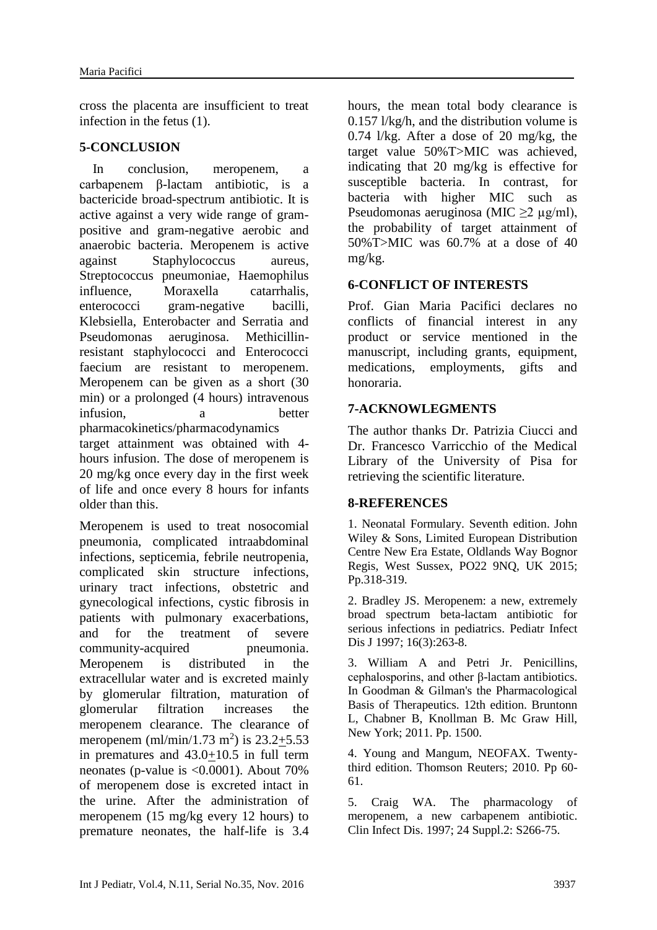cross the placenta are insufficient to treat infection in the fetus (1).

### **5-CONCLUSION**

 In conclusion, meropenem, a carbapenem β-lactam antibiotic, is a bactericide broad-spectrum antibiotic. It is active against a very wide range of grampositive and gram-negative aerobic and anaerobic bacteria. Meropenem is active against Staphylococcus aureus, Streptococcus pneumoniae, Haemophilus influence, Moraxella catarrhalis, enterococci gram-negative bacilli, Klebsiella, Enterobacter and Serratia and Pseudomonas aeruginosa. Methicillinresistant staphylococci and Enterococci faecium are resistant to meropenem. Meropenem can be given as a short (30 min) or a prolonged (4 hours) intravenous infusion, a better pharmacokinetics/pharmacodynamics target attainment was obtained with 4 hours infusion. The dose of meropenem is 20 mg/kg once every day in the first week of life and once every 8 hours for infants older than this.

Meropenem is used to treat nosocomial pneumonia, complicated intraabdominal infections, septicemia, febrile neutropenia, complicated skin structure infections, urinary tract infections, obstetric and gynecological infections, cystic fibrosis in patients with pulmonary exacerbations, and for the treatment of severe community-acquired pneumonia. Meropenem is distributed in the extracellular water and is excreted mainly by glomerular filtration, maturation of glomerular filtration increases the meropenem clearance. The clearance of meropenem (ml/min/1.73 m<sup>2</sup>) is  $23.2 \pm 5.53$ in prematures and 43.0+10.5 in full term neonates (p-value is <0.0001). About 70% of meropenem dose is excreted intact in the urine. After the administration of meropenem (15 mg/kg every 12 hours) to premature neonates, the half-life is 3.4

hours, the mean total body clearance is 0.157 l/kg/h, and the distribution volume is 0.74 l/kg. After a dose of 20 mg/kg, the target value 50%T>MIC was achieved, indicating that 20 mg/kg is effective for susceptible bacteria. In contrast, for bacteria with higher MIC such as Pseudomonas aeruginosa (MIC  $\geq$ 2 µg/ml), the probability of target attainment of 50%T>MIC was 60.7% at a dose of 40 mg/kg.

### **6-CONFLICT OF INTERESTS**

Prof. Gian Maria Pacifici declares no conflicts of financial interest in any product or service mentioned in the manuscript, including grants, equipment, medications, employments, gifts and honoraria.

### **7-ACKNOWLEGMENTS**

The author thanks Dr. Patrizia Ciucci and Dr. Francesco Varricchio of the Medical Library of the University of Pisa for retrieving the scientific literature.

#### **8-REFERENCES**

1. Neonatal Formulary. Seventh edition. John Wiley & Sons, Limited European Distribution Centre New Era Estate, Oldlands Way Bognor Regis, West Sussex, PO22 9NQ, UK 2015; Pp.318-319.

2. Bradley JS. [Meropenem: a new, extremely](https://www.ncbi.nlm.nih.gov/pubmed/9076812)  [broad spectrum beta-lactam antibiotic for](https://www.ncbi.nlm.nih.gov/pubmed/9076812)  [serious infections in pediatrics.](https://www.ncbi.nlm.nih.gov/pubmed/9076812) Pediatr Infect Dis J 1997; 16(3):263-8.

3. William A and Petri Jr. Penicillins, cephalosporins, and other β-lactam antibiotics. In Goodman & Gilman's the Pharmacological Basis of Therapeutics. 12th edition. Bruntonn L, Chabner B, Knollman B. Mc Graw Hill, New York; 2011. Pp. 1500.

4. Young and Mangum, NEOFAX. Twentythird edition. Thomson Reuters; 2010. Pp 60- 61.

5. Craig WA. [The pharmacology of](https://www.ncbi.nlm.nih.gov/pubmed/9126702)  [meropenem, a new carbapenem antibiotic.](https://www.ncbi.nlm.nih.gov/pubmed/9126702) Clin Infect Dis. 1997; 24 Suppl.2: S266-75.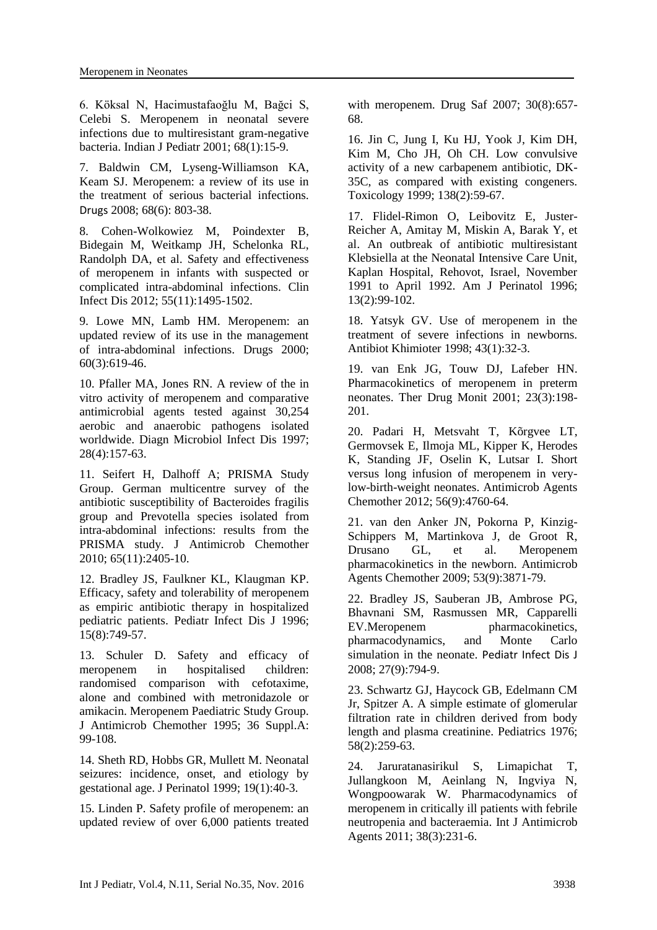6. Köksal N, Hacimustafaoğlu M, Bağci S, Celebi S. [Meropenem in neonatal severe](https://www.ncbi.nlm.nih.gov/pubmed/11237230)  [infections due to multiresistant gram-negative](https://www.ncbi.nlm.nih.gov/pubmed/11237230)  [bacteria.](https://www.ncbi.nlm.nih.gov/pubmed/11237230) Indian J Pediatr 2001; 68(1):15-9.

7. Baldwin CM, Lyseng-Williamson KA, Keam SJ. [Meropenem: a review of its use in](https://www.ncbi.nlm.nih.gov/pubmed/18416587)  [the treatment of serious bacterial infections.](https://www.ncbi.nlm.nih.gov/pubmed/18416587) Drugs 2008; 68(6): 803-38.

8. Cohen-Wolkowiez M, Poindexter B, Bidegain M, Weitkamp JH, Schelonka RL, Randolph DA, et al. [Safety and effectiveness](https://www.ncbi.nlm.nih.gov/pubmed/22955430)  [of meropenem in infants with suspected or](https://www.ncbi.nlm.nih.gov/pubmed/22955430)  [complicated intra-abdominal infections.](https://www.ncbi.nlm.nih.gov/pubmed/22955430) Clin Infect Dis 2012; 55(11):1495-1502.

9. Lowe MN, Lamb HM. [Meropenem: an](https://www.ncbi.nlm.nih.gov/pubmed/11030471)  [updated review of its use in the management](https://www.ncbi.nlm.nih.gov/pubmed/11030471)  [of intra-abdominal infections.](https://www.ncbi.nlm.nih.gov/pubmed/11030471) Drugs 2000; 60(3):619-46.

10. Pfaller MA, Jones RN. [A review of the in](https://www.ncbi.nlm.nih.gov/pubmed/9327242)  [vitro activity of meropenem and comparative](https://www.ncbi.nlm.nih.gov/pubmed/9327242)  [antimicrobial agents tested against 30,254](https://www.ncbi.nlm.nih.gov/pubmed/9327242)  [aerobic and anaerobic pathogens isolated](https://www.ncbi.nlm.nih.gov/pubmed/9327242)  [worldwide.](https://www.ncbi.nlm.nih.gov/pubmed/9327242) Diagn Microbiol Infect Dis 1997; 28(4):157-63.

11. [Seifert H,](https://www.ncbi.nlm.nih.gov/pubmed/?term=Seifert%20H%5BAuthor%5D&cauthor=true&cauthor_uid=20851813) [Dalhoff A;](https://www.ncbi.nlm.nih.gov/pubmed/?term=Dalhoff%20A%5BAuthor%5D&cauthor=true&cauthor_uid=20851813) [PRISMA Study](https://www.ncbi.nlm.nih.gov/pubmed/?term=PRISMA%20Study%20Group%5BCorporate%20Author%5D)  [Group.](https://www.ncbi.nlm.nih.gov/pubmed/?term=PRISMA%20Study%20Group%5BCorporate%20Author%5D) German multicentre survey of the antibiotic susceptibility of Bacteroides fragilis group and Prevotella species isolated from intra-abdominal infections: results from the PRISMA study. [J Antimicrob Chemother](https://www.ncbi.nlm.nih.gov/pubmed/?term=Seifert%2C+Dalhoff+2010) 2010; 65(11):2405-10.

12. Bradley JS, Faulkner KL, Klaugman KP. [Efficacy, safety and tolerability of meropenem](https://www.ncbi.nlm.nih.gov/pubmed/8858694)  [as empiric antibiotic therapy in hospitalized](https://www.ncbi.nlm.nih.gov/pubmed/8858694)  [pediatric patients.](https://www.ncbi.nlm.nih.gov/pubmed/8858694) Pediatr Infect Dis J 1996; 15(8):749-57.

13. Schuler D. [Safety and efficacy of](https://www.ncbi.nlm.nih.gov/pubmed/8543503)  [meropenem in hospitalised children:](https://www.ncbi.nlm.nih.gov/pubmed/8543503)  [randomised comparison with cefotaxime,](https://www.ncbi.nlm.nih.gov/pubmed/8543503)  [alone and combined with metronidazole or](https://www.ncbi.nlm.nih.gov/pubmed/8543503)  [amikacin. Meropenem Paediatric Study Group.](https://www.ncbi.nlm.nih.gov/pubmed/8543503) J Antimicrob Chemother 1995; 36 Suppl.A: 99-108.

14. Sheth RD, Hobbs GR, Mullett M. [Neonatal](https://www.ncbi.nlm.nih.gov/pubmed/10685200)  [seizures: incidence, onset, and etiology by](https://www.ncbi.nlm.nih.gov/pubmed/10685200)  [gestational age.](https://www.ncbi.nlm.nih.gov/pubmed/10685200) J Perinatol 1999; 19(1):40-3.

15. Linden P. [Safety profile of meropenem: an](https://www.ncbi.nlm.nih.gov/pubmed/17696578)  [updated review of over 6,000 patients treated](https://www.ncbi.nlm.nih.gov/pubmed/17696578)  [with meropenem.](https://www.ncbi.nlm.nih.gov/pubmed/17696578) Drug Saf 2007; 30(8):657- 68.

16. [Jin C,](https://www.ncbi.nlm.nih.gov/pubmed/?term=Jin%20C%5BAuthor%5D&cauthor=true&cauthor_uid=10576583) [Jung I,](https://www.ncbi.nlm.nih.gov/pubmed/?term=Jung%20I%5BAuthor%5D&cauthor=true&cauthor_uid=10576583) [Ku HJ,](https://www.ncbi.nlm.nih.gov/pubmed/?term=Ku%20HJ%5BAuthor%5D&cauthor=true&cauthor_uid=10576583) [Yook J,](https://www.ncbi.nlm.nih.gov/pubmed/?term=Yook%20J%5BAuthor%5D&cauthor=true&cauthor_uid=10576583) [Kim DH,](https://www.ncbi.nlm.nih.gov/pubmed/?term=Kim%20DH%5BAuthor%5D&cauthor=true&cauthor_uid=10576583) [Kim M,](https://www.ncbi.nlm.nih.gov/pubmed/?term=Kim%20M%5BAuthor%5D&cauthor=true&cauthor_uid=10576583) [Cho JH,](https://www.ncbi.nlm.nih.gov/pubmed/?term=Cho%20JH%5BAuthor%5D&cauthor=true&cauthor_uid=10576583) [Oh CH.](https://www.ncbi.nlm.nih.gov/pubmed/?term=Oh%20CH%5BAuthor%5D&cauthor=true&cauthor_uid=10576583) Low convulsive activity of a new carbapenem antibiotic, DK-35C, as compared with existing congeners. [Toxicology](https://www.ncbi.nlm.nih.gov/pubmed/?term=jin+c%2C+jung+i+1999) 1999; 138(2):59-67.

17. [Flidel-Rimon O,](https://www.ncbi.nlm.nih.gov/pubmed/?term=Flidel-Rimon%20O%5BAuthor%5D&cauthor=true&cauthor_uid=8672194) [Leibovitz E,](https://www.ncbi.nlm.nih.gov/pubmed/?term=Leibovitz%20E%5BAuthor%5D&cauthor=true&cauthor_uid=8672194) [Juster-](https://www.ncbi.nlm.nih.gov/pubmed/?term=Juster-Reicher%20A%5BAuthor%5D&cauthor=true&cauthor_uid=8672194)[Reicher A,](https://www.ncbi.nlm.nih.gov/pubmed/?term=Juster-Reicher%20A%5BAuthor%5D&cauthor=true&cauthor_uid=8672194) [Amitay M,](https://www.ncbi.nlm.nih.gov/pubmed/?term=Amitay%20M%5BAuthor%5D&cauthor=true&cauthor_uid=8672194) [Miskin A,](https://www.ncbi.nlm.nih.gov/pubmed/?term=Miskin%20A%5BAuthor%5D&cauthor=true&cauthor_uid=8672194) [Barak Y,](https://www.ncbi.nlm.nih.gov/pubmed/?term=Barak%20Y%5BAuthor%5D&cauthor=true&cauthor_uid=8672194) [et](https://www.ncbi.nlm.nih.gov/pubmed/?term=Mogilner%20B%5BAuthor%5D&cauthor=true&cauthor_uid=8672194) al. An outbreak of antibiotic multiresistant Klebsiella at the Neonatal Intensive Care Unit, Kaplan Hospital, Rehovot, Israel, November 1991 to April 1992. [Am J Perinatol](https://www.ncbi.nlm.nih.gov/pubmed/?term=Fidel-Rimon+o+1996) 1996; 13(2):99-102.

18. Yatsyk GV. [Use of meropenem in the](https://www.ncbi.nlm.nih.gov/pubmed/9532330) [treatment of severe infections in newborns.](https://www.ncbi.nlm.nih.gov/pubmed/9532330) Antibiot Khimioter 1998; 43(1):32-3.

19. [van Enk JG,](https://www.ncbi.nlm.nih.gov/pubmed/?term=van%20Enk%20JG%5BAuthor%5D&cauthor=true&cauthor_uid=11360025) [Touw DJ,](https://www.ncbi.nlm.nih.gov/pubmed/?term=Touw%20DJ%5BAuthor%5D&cauthor=true&cauthor_uid=11360025) [Lafeber HN.](https://www.ncbi.nlm.nih.gov/pubmed/?term=Lafeber%20HN%5BAuthor%5D&cauthor=true&cauthor_uid=11360025) Pharmacokinetics of meropenem in preterm neonates. [Ther Drug Monit](https://www.ncbi.nlm.nih.gov/pubmed/?term=van+enk+jg+2001) 2001; 23(3):198- 201.

20. [Padari H,](https://www.ncbi.nlm.nih.gov/pubmed/?term=Padari%20H%5BAuthor%5D&cauthor=true&cauthor_uid=22733063) [Metsvaht T,](https://www.ncbi.nlm.nih.gov/pubmed/?term=Metsvaht%20T%5BAuthor%5D&cauthor=true&cauthor_uid=22733063) [Kõrgvee LT,](https://www.ncbi.nlm.nih.gov/pubmed/?term=K%C3%B5rgvee%20LT%5BAuthor%5D&cauthor=true&cauthor_uid=22733063) [Germovsek E,](https://www.ncbi.nlm.nih.gov/pubmed/?term=Germovsek%20E%5BAuthor%5D&cauthor=true&cauthor_uid=22733063) [Ilmoja ML,](https://www.ncbi.nlm.nih.gov/pubmed/?term=Ilmoja%20ML%5BAuthor%5D&cauthor=true&cauthor_uid=22733063) [Kipper K,](https://www.ncbi.nlm.nih.gov/pubmed/?term=Kipper%20K%5BAuthor%5D&cauthor=true&cauthor_uid=22733063) [Herodes](https://www.ncbi.nlm.nih.gov/pubmed/?term=Herodes%20K%5BAuthor%5D&cauthor=true&cauthor_uid=22733063)  [K,](https://www.ncbi.nlm.nih.gov/pubmed/?term=Herodes%20K%5BAuthor%5D&cauthor=true&cauthor_uid=22733063) [Standing JF,](https://www.ncbi.nlm.nih.gov/pubmed/?term=Standing%20JF%5BAuthor%5D&cauthor=true&cauthor_uid=22733063) [Oselin K,](https://www.ncbi.nlm.nih.gov/pubmed/?term=Oselin%20K%5BAuthor%5D&cauthor=true&cauthor_uid=22733063) [Lutsar I.](https://www.ncbi.nlm.nih.gov/pubmed/?term=Lutsar%20I%5BAuthor%5D&cauthor=true&cauthor_uid=22733063) Short versus long infusion of meropenem in verylow-birth-weight neonates. [Antimicrob Agents](https://www.ncbi.nlm.nih.gov/pubmed/?term=pedari+h+2012)  [Chemother](https://www.ncbi.nlm.nih.gov/pubmed/?term=pedari+h+2012) 2012; 56(9):4760-64.

21. van den Anker JN, Pokorna P, Kinzig-Schippers M, Martinkova J, de Groot R, Drusano GL, et al. [Meropenem](https://www.ncbi.nlm.nih.gov/pubmed/19581463)  [pharmacokinetics in the newborn.](https://www.ncbi.nlm.nih.gov/pubmed/19581463) Antimicrob Agents Chemother 2009; 53(9):3871-79.

22. Bradley JS, Sauberan JB, Ambrose PG, Bhavnani SM, Rasmussen MR, Capparelli E[V.Meropenem pharmacokinetics,](https://www.ncbi.nlm.nih.gov/pubmed/18645546)  [pharmacodynamics, and Monte Carlo](https://www.ncbi.nlm.nih.gov/pubmed/18645546)  [simulation in the neonate.](https://www.ncbi.nlm.nih.gov/pubmed/18645546) Pediatr Infect Dis J 2008; 27(9):794-9.

23. Schwartz GJ, Haycock GB, Edelmann CM Jr, Spitzer A. [A simple estimate of glomerular](https://www.ncbi.nlm.nih.gov/pubmed/951142)  [filtration rate in children derived from body](https://www.ncbi.nlm.nih.gov/pubmed/951142)  [length and plasma creatinine.](https://www.ncbi.nlm.nih.gov/pubmed/951142) Pediatrics 1976; 58(2):259-63.

24. Jaruratanasirikul S, Limapichat T, Jullangkoon M, Aeinlang N, Ingviya N, Wongpoowarak W. [Pharmacodynamics of](https://www.ncbi.nlm.nih.gov/pubmed/21726984)  [meropenem in critically ill patients with febrile](https://www.ncbi.nlm.nih.gov/pubmed/21726984)  [neutropenia and bacteraemia.](https://www.ncbi.nlm.nih.gov/pubmed/21726984) Int J Antimicrob Agents 2011; 38(3):231-6.